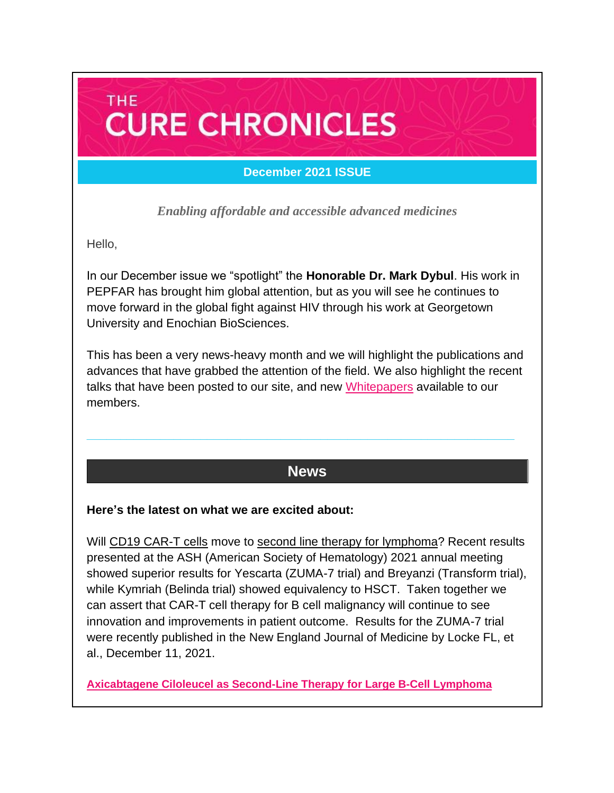# **THE CURE CHRONICLES**

## **December 2021 ISSUE**

*Enabling affordable and accessible advanced medicines*

Hello,

In our December issue we "spotlight" the **Honorable Dr. Mark Dybul**. His work in PEPFAR has brought him global attention, but as you will see he continues to move forward in the global fight against HIV through his work at Georgetown University and Enochian BioSciences.

This has been a very news-heavy month and we will highlight the publications and advances that have grabbed the attention of the field. We also highlight the recent talks that have been posted to our site, and new [Whitepapers](https://caringcross.org/whitepapers/) available to our members.

## **News**

**\_\_\_\_\_\_\_\_\_\_\_\_\_\_\_\_\_\_\_\_\_\_\_\_\_\_\_\_\_\_\_\_\_\_\_\_\_\_\_\_\_\_\_\_\_\_\_\_\_\_\_\_\_\_\_\_\_\_\_\_\_\_\_\_**

#### **Here's the latest on what we are excited about:**

Will CD19 CAR-T cells move to second line therapy for lymphoma? Recent results presented at the ASH (American Society of Hematology) 2021 annual meeting showed superior results for Yescarta (ZUMA-7 trial) and Breyanzi (Transform trial), while Kymriah (Belinda trial) showed equivalency to HSCT. Taken together we can assert that CAR-T cell therapy for B cell malignancy will continue to see innovation and improvements in patient outcome. Results for the ZUMA-7 trial were recently published in the New England Journal of Medicine by Locke FL, et al., December 11, 2021.

**[Axicabtagene Ciloleucel as Second-Line Therapy for Large B-Cell Lymphoma](https://www.nejm.org/doi/full/10.1056/NEJMoa2116133)**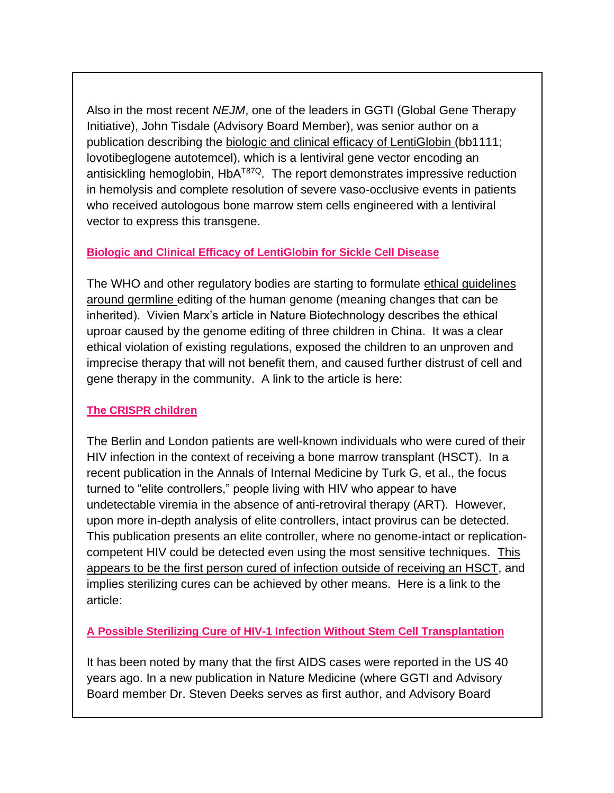Also in the most recent *NEJM*, one of the leaders in GGTI (Global Gene Therapy Initiative), John Tisdale (Advisory Board Member), was senior author on a publication describing the biologic and clinical efficacy of LentiGlobin (bb1111; lovotibeglogene autotemcel), which is a lentiviral gene vector encoding an antisickling hemoglobin, HbA<sup>T87Q</sup>. The report demonstrates impressive reduction in hemolysis and complete resolution of severe vaso-occlusive events in patients who received autologous bone marrow stem cells engineered with a lentiviral vector to express this transgene.

#### **[Biologic and Clinical Efficacy of LentiGlobin for Sickle Cell Disease](https://www.nejm.org/doi/full/10.1056/NEJMoa2117175)**

The WHO and other regulatory bodies are starting to formulate ethical guidelines around germline editing of the human genome (meaning changes that can be inherited). Vivien Marx's article in Nature Biotechnology describes the ethical uproar caused by the genome editing of three children in China. It was a clear ethical violation of existing regulations, exposed the children to an unproven and imprecise therapy that will not benefit them, and caused further distrust of cell and gene therapy in the community. A link to the article is here:

#### **[The CRISPR children](https://www.nature.com/articles/s41587-021-01138-5.pdf)**

The Berlin and London patients are well-known individuals who were cured of their HIV infection in the context of receiving a bone marrow transplant (HSCT). In a recent publication in the Annals of Internal Medicine by Turk G, et al., the focus turned to "elite controllers," people living with HIV who appear to have undetectable viremia in the absence of anti-retroviral therapy (ART). However, upon more in-depth analysis of elite controllers, intact provirus can be detected. This publication presents an elite controller, where no genome-intact or replicationcompetent HIV could be detected even using the most sensitive techniques. This appears to be the first person cured of infection outside of receiving an HSCT, and implies sterilizing cures can be achieved by other means. Here is a link to the article:

**[A Possible Sterilizing Cure of HIV-1 Infection Without Stem](https://www.acpjournals.org/doi/abs/10.7326/L21-0297) Cell Transplantation**

It has been noted by many that the first AIDS cases were reported in the US 40 years ago. In a new publication in Nature Medicine (where GGTI and Advisory Board member Dr. Steven Deeks serves as first author, and Advisory Board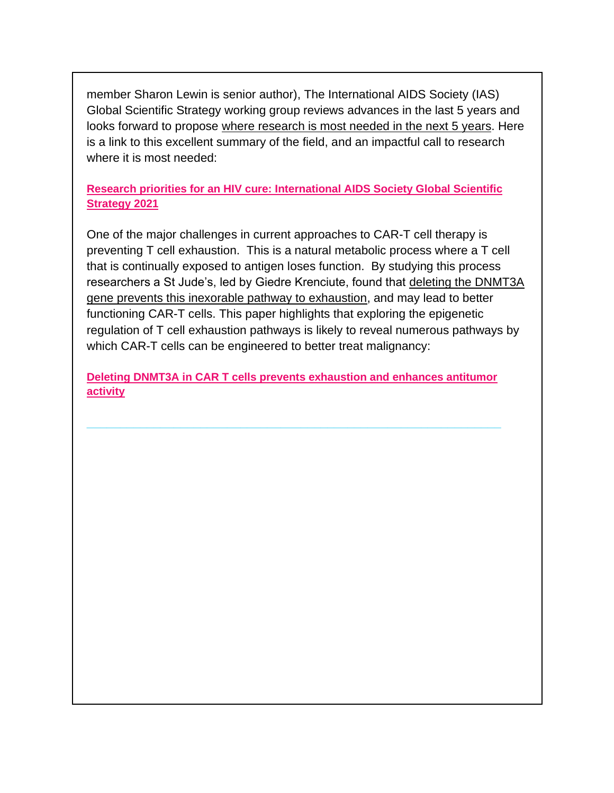member Sharon Lewin is senior author), The International AIDS Society (IAS) Global Scientific Strategy working group reviews advances in the last 5 years and looks forward to propose where research is most needed in the next 5 years. Here is a link to this excellent summary of the field, and an impactful call to research where it is most needed:

**[Research priorities for an HIV cure: International AIDS Society Global Scientific](https://www.nature.com/articles/s41591-021-01590-5.pdf)  [Strategy 2021](https://www.nature.com/articles/s41591-021-01590-5.pdf)**

One of the major challenges in current approaches to CAR-T cell therapy is preventing T cell exhaustion. This is a natural metabolic process where a T cell that is continually exposed to antigen loses function. By studying this process researchers a St Jude's, led by Giedre Krenciute, found that deleting the DNMT3A gene prevents this inexorable pathway to exhaustion, and may lead to better functioning CAR-T cells. This paper highlights that exploring the epigenetic regulation of T cell exhaustion pathways is likely to reveal numerous pathways by which CAR-T cells can be engineered to better treat malignancy:

**[Deleting DNMT3A in CAR T cells prevents exhaustion and enhances antitumor](https://www.science.org/doi/10.1126/scitranslmed.abh0272)  [activity](https://www.science.org/doi/10.1126/scitranslmed.abh0272)**

**\_\_\_\_\_\_\_\_\_\_\_\_\_\_\_\_\_\_\_\_\_\_\_\_\_\_\_\_\_\_\_\_\_\_\_\_\_\_\_\_\_\_\_\_\_\_\_\_\_\_\_\_\_\_\_\_\_\_\_\_\_\_**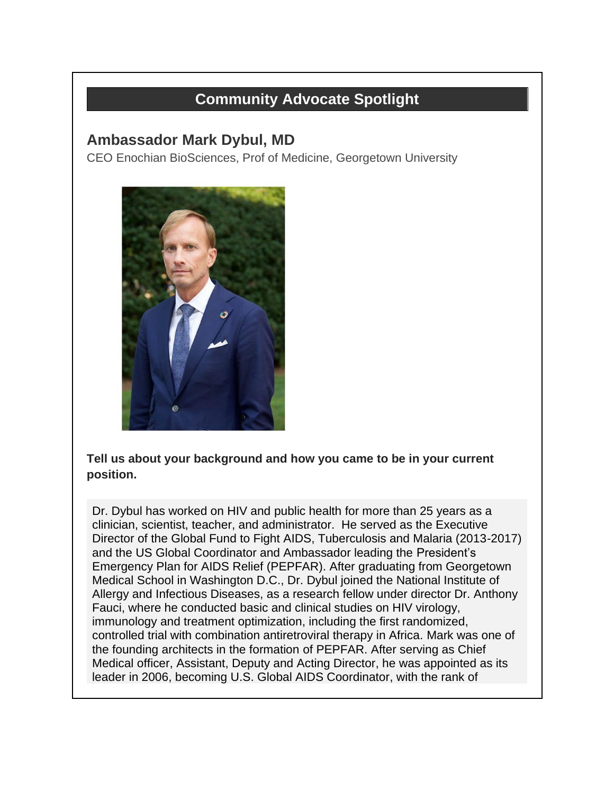# **Community Advocate Spotlight**

## **Ambassador Mark Dybul, MD**

CEO Enochian BioSciences, Prof of Medicine, Georgetown University



**Tell us about your background and how you came to be in your current position.**

Dr. Dybul has worked on HIV and public health for more than 25 years as a clinician, scientist, teacher, and administrator. He served as the Executive Director of the Global Fund to Fight AIDS, Tuberculosis and Malaria (2013-2017) and the US Global Coordinator and Ambassador leading the President's Emergency Plan for AIDS Relief (PEPFAR). After graduating from Georgetown Medical School in Washington D.C., Dr. Dybul joined the National Institute of Allergy and Infectious Diseases, as a research fellow under director Dr. Anthony Fauci, where he conducted basic and clinical studies on HIV virology, immunology and treatment optimization, including the first randomized, controlled trial with combination antiretroviral therapy in Africa. Mark was one of the founding architects in the formation of PEPFAR. After serving as Chief Medical officer, Assistant, Deputy and Acting Director, he was appointed as its leader in 2006, becoming U.S. Global AIDS Coordinator, with the rank of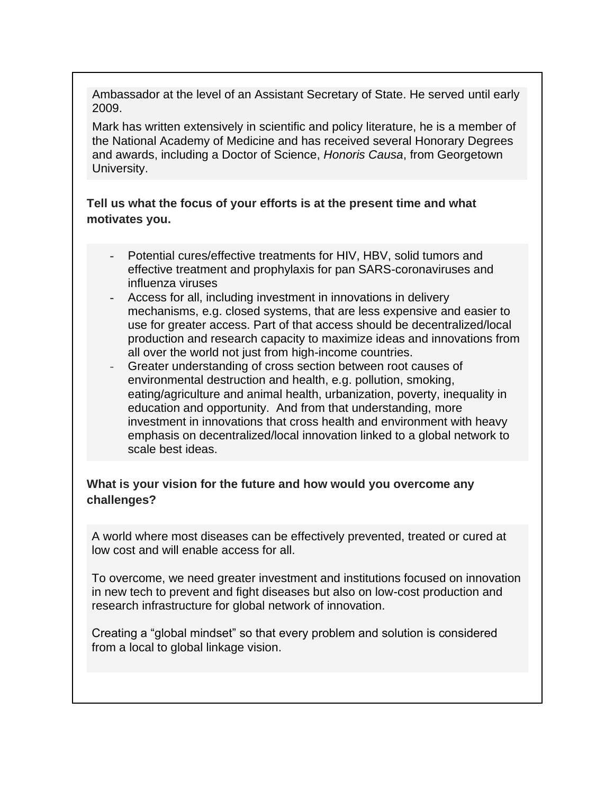Ambassador at the level of an Assistant Secretary of State. He served until early 2009.

Mark has written extensively in scientific and policy literature, he is a member of the National Academy of Medicine and has received several Honorary Degrees and awards, including a Doctor of Science, *Honoris Causa*, from Georgetown University.

**Tell us what the focus of your efforts is at the present time and what motivates you.**

- Potential cures/effective treatments for HIV, HBV, solid tumors and effective treatment and prophylaxis for pan SARS-coronaviruses and influenza viruses
- Access for all, including investment in innovations in delivery mechanisms, e.g. closed systems, that are less expensive and easier to use for greater access. Part of that access should be decentralized/local production and research capacity to maximize ideas and innovations from all over the world not just from high-income countries.
- Greater understanding of cross section between root causes of environmental destruction and health, e.g. pollution, smoking, eating/agriculture and animal health, urbanization, poverty, inequality in education and opportunity. And from that understanding, more investment in innovations that cross health and environment with heavy emphasis on decentralized/local innovation linked to a global network to scale best ideas.

#### **What is your vision for the future and how would you overcome any challenges?**

A world where most diseases can be effectively prevented, treated or cured at low cost and will enable access for all.

To overcome, we need greater investment and institutions focused on innovation in new tech to prevent and fight diseases but also on low-cost production and research infrastructure for global network of innovation.

Creating a "global mindset" so that every problem and solution is considered from a local to global linkage vision.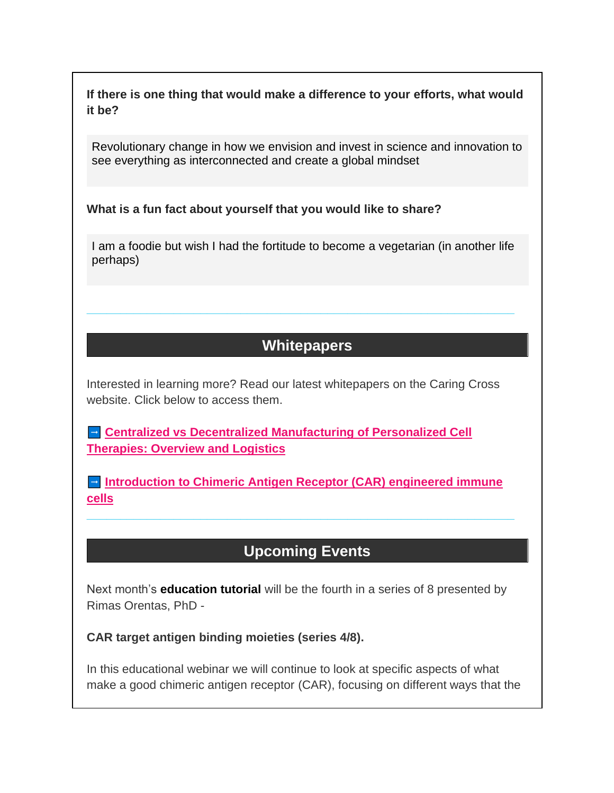**If there is one thing that would make a difference to your efforts, what would it be?**

Revolutionary change in how we envision and invest in science and innovation to see everything as interconnected and create a global mindset

**What is a fun fact about yourself that you would like to share?**

I am a foodie but wish I had the fortitude to become a vegetarian (in another life perhaps)

**\_\_\_\_\_\_\_\_\_\_\_\_\_\_\_\_\_\_\_\_\_\_\_\_\_\_\_\_\_\_\_\_\_\_\_\_\_\_\_\_\_\_\_\_\_\_\_\_\_\_\_\_\_\_\_\_\_\_\_\_\_\_\_\_**

# **Whitepapers**

Interested in learning more? Read our latest whitepapers on the Caring Cross website. Click below to access them.

**Centralized vs Decentralized Manufacturing of Personalized Cell [Therapies: Overview and Logistics](https://caringcross.org/whitepapers/)**

 **[Introduction to Chimeric Antigen Receptor \(CAR\) engineered immune](https://caringcross.org/whitepapers/)  [cells](https://caringcross.org/whitepapers/)**

**\_\_\_\_\_\_\_\_\_\_\_\_\_\_\_\_\_\_\_\_\_\_\_\_\_\_\_\_\_\_\_\_\_\_\_\_\_\_\_\_\_\_\_\_\_\_\_\_\_\_\_\_\_\_\_\_\_\_\_\_\_\_\_\_**

# **Upcoming Events**

Next month's **education tutorial** will be the fourth in a series of 8 presented by Rimas Orentas, PhD -

**CAR target antigen binding moieties (series 4/8).**

In this educational webinar we will continue to look at specific aspects of what make a good chimeric antigen receptor (CAR), focusing on different ways that the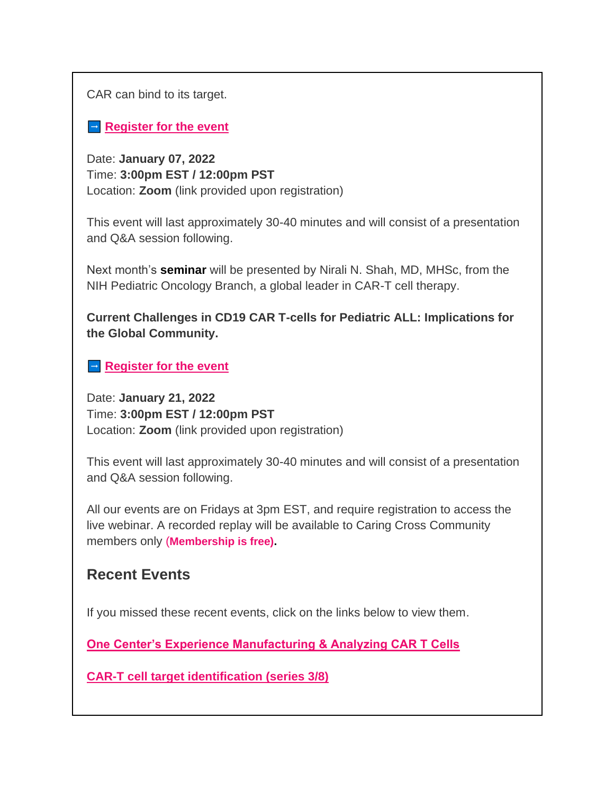CAR can bind to its target.

**[Register for the event](https://caringcross.org/events/)** 

Date: **January 07, 2022** Time: **3:00pm EST / 12:00pm PST**  Location: **Zoom** (link provided upon registration)

This event will last approximately 30-40 minutes and will consist of a presentation and Q&A session following.

Next month's **seminar** will be presented by Nirali N. Shah, MD, MHSc, from the NIH Pediatric Oncology Branch, a global leader in CAR-T cell therapy.

**Current Challenges in CD19 CAR T-cells for Pediatric ALL: Implications for the Global Community.**

**[Register for the event](https://caringcross.org/events/)** 

Date: **January 21, 2022** Time: **3:00pm EST / 12:00pm PST**  Location: **Zoom** (link provided upon registration)

This event will last approximately 30-40 minutes and will consist of a presentation and Q&A session following.

All our events are on Fridays at 3pm EST, and require registration to access the live webinar. A recorded replay will be available to Caring Cross Community members only (**Membership is free).**

## **Recent Events**

If you missed these recent events, click on the links below to view them.

**[One Center's Experience Manufacturing & Analyzing CAR T Cells](https://caringcross.org/archives/)**

**[CAR-T cell target identification \(series 3/8\)](https://caringcross.org/archives/)**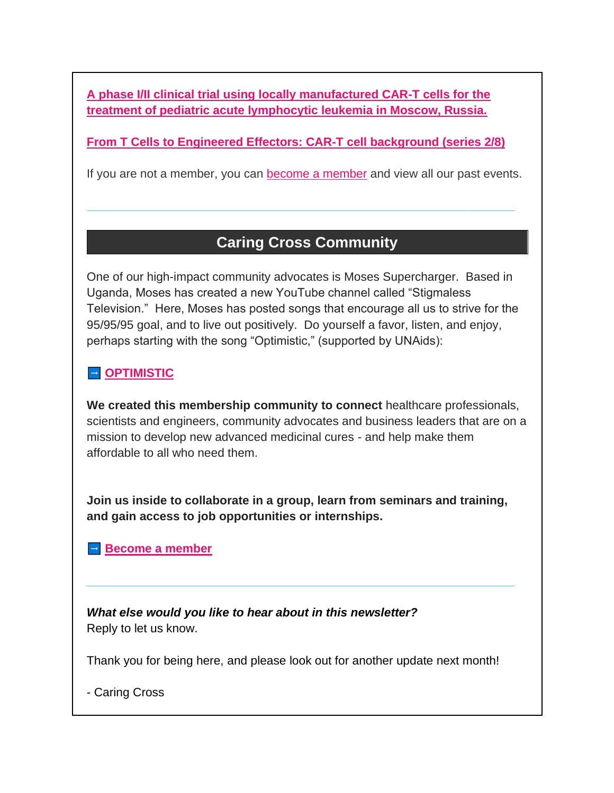**[A phase I/II clinical trial using locally manufactured CAR-T cells for the](https://caringcross.org/archives/)  [treatment of pediatric acute lymphocytic leukemia in Moscow, Russia.](https://caringcross.org/archives/)**

**[From T Cells to Engineered Effectors: CAR-T cell background \(series 2/8\)](https://caringcross.org/archives/)**

If you are not a member, you can **become a member** and view all our past events.

**\_\_\_\_\_\_\_\_\_\_\_\_\_\_\_\_\_\_\_\_\_\_\_\_\_\_\_\_\_\_\_\_\_\_\_\_\_\_\_\_\_\_\_\_\_\_\_\_\_\_\_\_\_\_\_\_\_\_\_\_\_\_\_\_**

# **Caring Cross Community**

One of our high-impact community advocates is Moses Supercharger. Based in Uganda, Moses has created a new YouTube channel called "Stigmaless Television." Here, Moses has posted songs that encourage all us to strive for the 95/95/95 goal, and to live out positively. Do yourself a favor, listen, and enjoy, perhaps starting with the song "Optimistic," (supported by UNAids):

### **DETIMISTIC**

**We created this membership community to connect** healthcare professionals, scientists and engineers, community advocates and business leaders that are on a mission to develop new advanced medicinal cures - and help make them affordable to all who need them.

**Join us inside to collaborate in a group, learn from seminars and training, and gain access to job opportunities or internships.**

**\_\_\_\_\_\_\_\_\_\_\_\_\_\_\_\_\_\_\_\_\_\_\_\_\_\_\_\_\_\_\_\_\_\_\_\_\_\_\_\_\_\_\_\_\_\_\_\_\_\_\_\_\_\_\_\_\_\_\_\_\_\_\_\_**

**[Become a member](https://caringcross.org/become-a-member/)** 

*What else would you like to hear about in this newsletter?* Reply to let us know.

Thank you for being here, and please look out for another update next month!

- Caring Cross